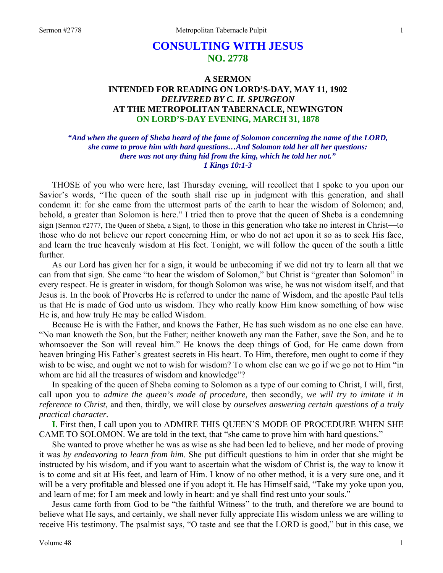# **CONSULTING WITH JESUS NO. 2778**

## **A SERMON INTENDED FOR READING ON LORD'S-DAY, MAY 11, 1902**  *DELIVERED BY C. H. SPURGEON*  **AT THE METROPOLITAN TABERNACLE, NEWINGTON ON LORD'S-DAY EVENING, MARCH 31, 1878**

## *"And when the queen of Sheba heard of the fame of Solomon concerning the name of the LORD, she came to prove him with hard questions…And Solomon told her all her questions: there was not any thing hid from the king, which he told her not." 1 Kings 10:1-3*

THOSE of you who were here, last Thursday evening, will recollect that I spoke to you upon our Savior's words, "The queen of the south shall rise up in judgment with this generation, and shall condemn it: for she came from the uttermost parts of the earth to hear the wisdom of Solomon; and, behold, a greater than Solomon is here." I tried then to prove that the queen of Sheba is a condemning sign [Sermon #2777, The Queen of Sheba, a Sign], to those in this generation who take no interest in Christ—to those who do not believe our report concerning Him, or who do not act upon it so as to seek His face, and learn the true heavenly wisdom at His feet. Tonight, we will follow the queen of the south a little further.

As our Lord has given her for a sign, it would be unbecoming if we did not try to learn all that we can from that sign. She came "to hear the wisdom of Solomon," but Christ is "greater than Solomon" in every respect. He is greater in wisdom, for though Solomon was wise, he was not wisdom itself, and that Jesus is. In the book of Proverbs He is referred to under the name of Wisdom, and the apostle Paul tells us that He is made of God unto us wisdom. They who really know Him know something of how wise He is, and how truly He may be called Wisdom.

Because He is with the Father, and knows the Father, He has such wisdom as no one else can have. "No man knoweth the Son, but the Father; neither knoweth any man the Father, save the Son, and he to whomsoever the Son will reveal him." He knows the deep things of God, for He came down from heaven bringing His Father's greatest secrets in His heart. To Him, therefore, men ought to come if they wish to be wise, and ought we not to wish for wisdom? To whom else can we go if we go not to Him "in whom are hid all the treasures of wisdom and knowledge"?

In speaking of the queen of Sheba coming to Solomon as a type of our coming to Christ, I will, first, call upon you to *admire the queen's mode of procedure,* then secondly, *we will try to imitate it in reference to Christ,* and then, thirdly, we will close by *ourselves answering certain questions of a truly practical character.*

**I.** First then, I call upon you to ADMIRE THIS QUEEN'S MODE OF PROCEDURE WHEN SHE CAME TO SOLOMON. We are told in the text, that "she came to prove him with hard questions."

She wanted to prove whether he was as wise as she had been led to believe, and her mode of proving it was *by endeavoring to learn from him*. She put difficult questions to him in order that she might be instructed by his wisdom, and if you want to ascertain what the wisdom of Christ is, the way to know it is to come and sit at His feet, and learn of Him. I know of no other method, it is a very sure one, and it will be a very profitable and blessed one if you adopt it. He has Himself said, "Take my yoke upon you, and learn of me; for I am meek and lowly in heart: and ye shall find rest unto your souls."

Jesus came forth from God to be "the faithful Witness" to the truth, and therefore we are bound to believe what He says, and certainly, we shall never fully appreciate His wisdom unless we are willing to receive His testimony. The psalmist says, "O taste and see that the LORD is good," but in this case, we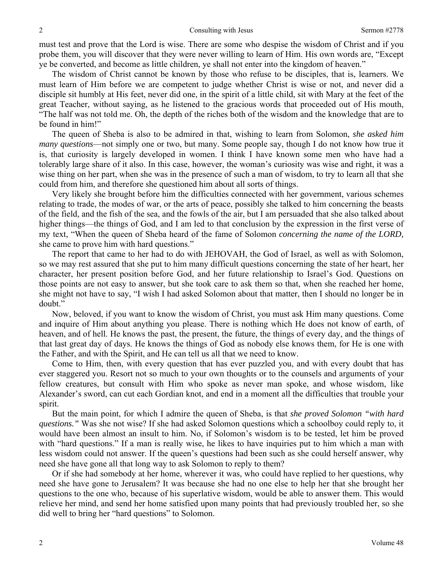must test and prove that the Lord is wise. There are some who despise the wisdom of Christ and if you probe them, you will discover that they were never willing to learn of Him. His own words are, "Except ye be converted, and become as little children, ye shall not enter into the kingdom of heaven."

The wisdom of Christ cannot be known by those who refuse to be disciples, that is, learners. We must learn of Him before we are competent to judge whether Christ is wise or not, and never did a disciple sit humbly at His feet, never did one, in the spirit of a little child, sit with Mary at the feet of the great Teacher, without saying, as he listened to the gracious words that proceeded out of His mouth, "The half was not told me. Oh, the depth of the riches both of the wisdom and the knowledge that are to be found in him!"

The queen of Sheba is also to be admired in that, wishing to learn from Solomon, *she asked him many questions*—not simply one or two, but many. Some people say, though I do not know how true it is, that curiosity is largely developed in women. I think I have known some men who have had a tolerably large share of it also. In this case, however, the woman's curiosity was wise and right, it was a wise thing on her part, when she was in the presence of such a man of wisdom, to try to learn all that she could from him, and therefore she questioned him about all sorts of things.

Very likely she brought before him the difficulties connected with her government, various schemes relating to trade, the modes of war, or the arts of peace, possibly she talked to him concerning the beasts of the field, and the fish of the sea, and the fowls of the air, but I am persuaded that she also talked about higher things—the things of God, and I am led to that conclusion by the expression in the first verse of my text, "When the queen of Sheba heard of the fame of Solomon *concerning the name of the LORD,* she came to prove him with hard questions."

The report that came to her had to do with JEHOVAH, the God of Israel, as well as with Solomon, so we may rest assured that she put to him many difficult questions concerning the state of her heart, her character, her present position before God, and her future relationship to Israel's God. Questions on those points are not easy to answer, but she took care to ask them so that, when she reached her home, she might not have to say, "I wish I had asked Solomon about that matter, then I should no longer be in doubt."

Now, beloved, if you want to know the wisdom of Christ, you must ask Him many questions. Come and inquire of Him about anything you please. There is nothing which He does not know of earth, of heaven, and of hell. He knows the past, the present, the future, the things of every day, and the things of that last great day of days. He knows the things of God as nobody else knows them, for He is one with the Father, and with the Spirit, and He can tell us all that we need to know.

Come to Him, then, with every question that has ever puzzled you, and with every doubt that has ever staggered you. Resort not so much to your own thoughts or to the counsels and arguments of your fellow creatures, but consult with Him who spoke as never man spoke, and whose wisdom, like Alexander's sword, can cut each Gordian knot, and end in a moment all the difficulties that trouble your spirit.

But the main point, for which I admire the queen of Sheba, is that *she proved Solomon "with hard questions."* Was she not wise? If she had asked Solomon questions which a schoolboy could reply to, it would have been almost an insult to him. No, if Solomon's wisdom is to be tested, let him be proved with "hard questions." If a man is really wise, he likes to have inquiries put to him which a man with less wisdom could not answer. If the queen's questions had been such as she could herself answer, why need she have gone all that long way to ask Solomon to reply to them?

Or if she had somebody at her home, wherever it was, who could have replied to her questions, why need she have gone to Jerusalem? It was because she had no one else to help her that she brought her questions to the one who, because of his superlative wisdom, would be able to answer them. This would relieve her mind, and send her home satisfied upon many points that had previously troubled her, so she did well to bring her "hard questions" to Solomon.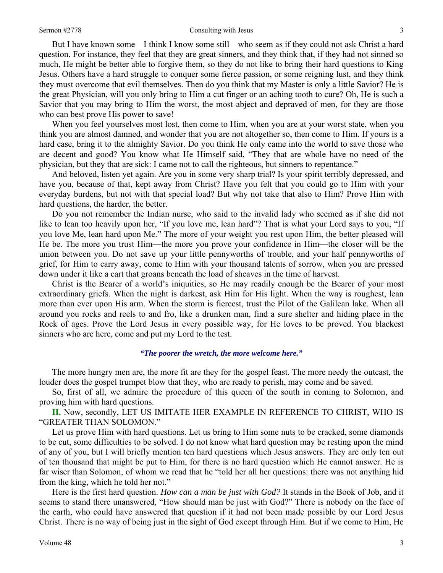#### Sermon #2778 Consulting with Jesus 3

But I have known some—I think I know some still—who seem as if they could not ask Christ a hard question. For instance, they feel that they are great sinners, and they think that, if they had not sinned so much, He might be better able to forgive them, so they do not like to bring their hard questions to King Jesus. Others have a hard struggle to conquer some fierce passion, or some reigning lust, and they think they must overcome that evil themselves. Then do you think that my Master is only a little Savior? He is the great Physician, will you only bring to Him a cut finger or an aching tooth to cure? Oh, He is such a Savior that you may bring to Him the worst, the most abject and depraved of men, for they are those who can best prove His power to save!

When you feel yourselves most lost, then come to Him, when you are at your worst state, when you think you are almost damned, and wonder that you are not altogether so, then come to Him. If yours is a hard case, bring it to the almighty Savior. Do you think He only came into the world to save those who are decent and good? You know what He Himself said, "They that are whole have no need of the physician, but they that are sick: I came not to call the righteous, but sinners to repentance."

And beloved, listen yet again. Are you in some very sharp trial? Is your spirit terribly depressed, and have you, because of that, kept away from Christ? Have you felt that you could go to Him with your everyday burdens, but not with that special load? But why not take that also to Him? Prove Him with hard questions, the harder, the better.

Do you not remember the Indian nurse, who said to the invalid lady who seemed as if she did not like to lean too heavily upon her, "If you love me, lean hard"? That is what your Lord says to you, "If you love Me, lean hard upon Me." The more of your weight you rest upon Him, the better pleased will He be. The more you trust Him—the more you prove your confidence in Him—the closer will be the union between you. Do not save up your little pennyworths of trouble, and your half pennyworths of grief, for Him to carry away, come to Him with your thousand talents of sorrow, when you are pressed down under it like a cart that groans beneath the load of sheaves in the time of harvest.

Christ is the Bearer of a world's iniquities, so He may readily enough be the Bearer of your most extraordinary griefs. When the night is darkest, ask Him for His light. When the way is roughest, lean more than ever upon His arm. When the storm is fiercest, trust the Pilot of the Galilean lake. When all around you rocks and reels to and fro, like a drunken man, find a sure shelter and hiding place in the Rock of ages. Prove the Lord Jesus in every possible way, for He loves to be proved. You blackest sinners who are here, come and put my Lord to the test.

### *"The poorer the wretch, the more welcome here."*

The more hungry men are, the more fit are they for the gospel feast. The more needy the outcast, the louder does the gospel trumpet blow that they, who are ready to perish, may come and be saved.

So, first of all, we admire the procedure of this queen of the south in coming to Solomon, and proving him with hard questions.

**II.** Now, secondly, LET US IMITATE HER EXAMPLE IN REFERENCE TO CHRIST, WHO IS "GREATER THAN SOLOMON."

Let us prove Him with hard questions. Let us bring to Him some nuts to be cracked, some diamonds to be cut, some difficulties to be solved. I do not know what hard question may be resting upon the mind of any of you, but I will briefly mention ten hard questions which Jesus answers. They are only ten out of ten thousand that might be put to Him, for there is no hard question which He cannot answer. He is far wiser than Solomon, of whom we read that he "told her all her questions: there was not anything hid from the king, which he told her not."

Here is the first hard question. *How can a man be just with God?* It stands in the Book of Job, and it seems to stand there unanswered, "How should man be just with God?" There is nobody on the face of the earth, who could have answered that question if it had not been made possible by our Lord Jesus Christ. There is no way of being just in the sight of God except through Him. But if we come to Him, He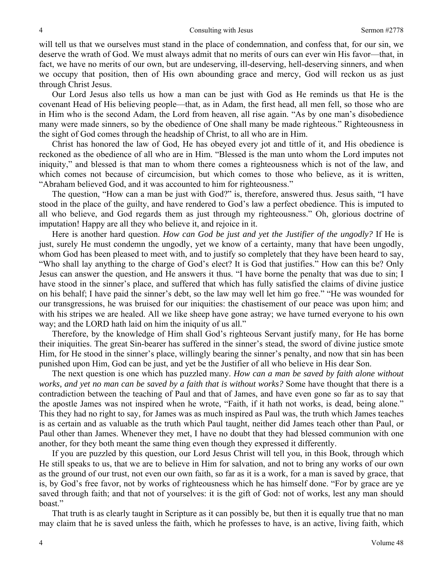will tell us that we ourselves must stand in the place of condemnation, and confess that, for our sin, we deserve the wrath of God. We must always admit that no merits of ours can ever win His favor—that, in fact, we have no merits of our own, but are undeserving, ill-deserving, hell-deserving sinners, and when we occupy that position, then of His own abounding grace and mercy, God will reckon us as just through Christ Jesus.

Our Lord Jesus also tells us how a man can be just with God as He reminds us that He is the covenant Head of His believing people—that, as in Adam, the first head, all men fell, so those who are in Him who is the second Adam, the Lord from heaven, all rise again. "As by one man's disobedience many were made sinners, so by the obedience of One shall many be made righteous." Righteousness in the sight of God comes through the headship of Christ, to all who are in Him.

Christ has honored the law of God, He has obeyed every jot and tittle of it, and His obedience is reckoned as the obedience of all who are in Him. "Blessed is the man unto whom the Lord imputes not iniquity," and blessed is that man to whom there comes a righteousness which is not of the law, and which comes not because of circumcision, but which comes to those who believe, as it is written, "Abraham believed God, and it was accounted to him for righteousness."

The question, "How can a man be just with God?" is, therefore, answered thus. Jesus saith, "I have stood in the place of the guilty, and have rendered to God's law a perfect obedience. This is imputed to all who believe, and God regards them as just through my righteousness." Oh, glorious doctrine of imputation! Happy are all they who believe it, and rejoice in it.

Here is another hard question. *How can God be just and yet the Justifier of the ungodly?* If He is just, surely He must condemn the ungodly, yet we know of a certainty, many that have been ungodly, whom God has been pleased to meet with, and to justify so completely that they have been heard to say, "Who shall lay anything to the charge of God's elect? It is God that justifies." How can this be? Only Jesus can answer the question, and He answers it thus. "I have borne the penalty that was due to sin; I have stood in the sinner's place, and suffered that which has fully satisfied the claims of divine justice on his behalf; I have paid the sinner's debt, so the law may well let him go free." "He was wounded for our transgressions, he was bruised for our iniquities: the chastisement of our peace was upon him; and with his stripes we are healed. All we like sheep have gone astray; we have turned everyone to his own way; and the LORD hath laid on him the iniquity of us all."

Therefore, by the knowledge of Him shall God's righteous Servant justify many, for He has borne their iniquities. The great Sin-bearer has suffered in the sinner's stead, the sword of divine justice smote Him, for He stood in the sinner's place, willingly bearing the sinner's penalty, and now that sin has been punished upon Him, God can be just, and yet be the Justifier of all who believe in His dear Son.

The next question is one which has puzzled many. *How can a man be saved by faith alone without works, and yet no man can be saved by a faith that is without works?* Some have thought that there is a contradiction between the teaching of Paul and that of James, and have even gone so far as to say that the apostle James was not inspired when he wrote, "Faith, if it hath not works, is dead, being alone." This they had no right to say, for James was as much inspired as Paul was, the truth which James teaches is as certain and as valuable as the truth which Paul taught, neither did James teach other than Paul, or Paul other than James. Whenever they met, I have no doubt that they had blessed communion with one another, for they both meant the same thing even though they expressed it differently.

If you are puzzled by this question, our Lord Jesus Christ will tell you, in this Book, through which He still speaks to us, that we are to believe in Him for salvation, and not to bring any works of our own as the ground of our trust, not even our own faith, so far as it is a work, for a man is saved by grace, that is, by God's free favor, not by works of righteousness which he has himself done. "For by grace are ye saved through faith; and that not of yourselves: it is the gift of God: not of works, lest any man should boast."

That truth is as clearly taught in Scripture as it can possibly be, but then it is equally true that no man may claim that he is saved unless the faith, which he professes to have, is an active, living faith, which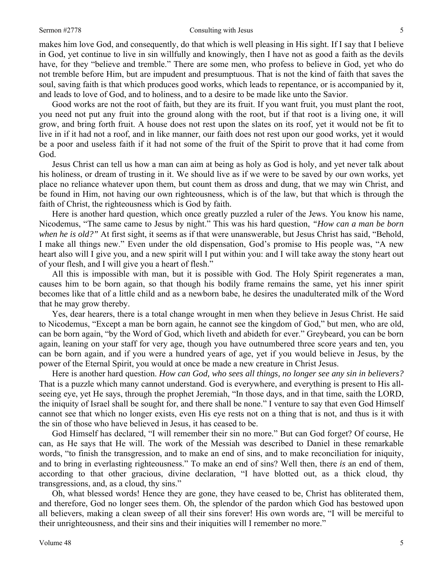#### Sermon #2778 Consulting with Jesus 5

makes him love God, and consequently, do that which is well pleasing in His sight. If I say that I believe in God, yet continue to live in sin willfully and knowingly, then I have not as good a faith as the devils have, for they "believe and tremble." There are some men, who profess to believe in God, yet who do not tremble before Him, but are impudent and presumptuous. That is not the kind of faith that saves the soul, saving faith is that which produces good works, which leads to repentance, or is accompanied by it, and leads to love of God, and to holiness, and to a desire to be made like unto the Savior.

Good works are not the root of faith, but they are its fruit. If you want fruit, you must plant the root, you need not put any fruit into the ground along with the root, but if that root is a living one, it will grow, and bring forth fruit. A house does not rest upon the slates on its roof, yet it would not be fit to live in if it had not a roof, and in like manner, our faith does not rest upon our good works, yet it would be a poor and useless faith if it had not some of the fruit of the Spirit to prove that it had come from God.

Jesus Christ can tell us how a man can aim at being as holy as God is holy, and yet never talk about his holiness, or dream of trusting in it. We should live as if we were to be saved by our own works, yet place no reliance whatever upon them, but count them as dross and dung, that we may win Christ, and be found in Him, not having our own righteousness, which is of the law, but that which is through the faith of Christ, the righteousness which is God by faith.

Here is another hard question, which once greatly puzzled a ruler of the Jews. You know his name, Nicodemus, "The same came to Jesus by night." This was his hard question, *"How can a man be born when he is old?"* At first sight, it seems as if that were unanswerable, but Jesus Christ has said, "Behold, I make all things new." Even under the old dispensation, God's promise to His people was, "A new heart also will I give you, and a new spirit will I put within you: and I will take away the stony heart out of your flesh, and I will give you a heart of flesh."

All this is impossible with man, but it is possible with God. The Holy Spirit regenerates a man, causes him to be born again, so that though his bodily frame remains the same, yet his inner spirit becomes like that of a little child and as a newborn babe, he desires the unadulterated milk of the Word that he may grow thereby.

Yes, dear hearers, there is a total change wrought in men when they believe in Jesus Christ. He said to Nicodemus, "Except a man be born again, he cannot see the kingdom of God," but men, who are old, can be born again, "by the Word of God, which liveth and abideth for ever." Greybeard, you can be born again, leaning on your staff for very age, though you have outnumbered three score years and ten, you can be born again, and if you were a hundred years of age, yet if you would believe in Jesus, by the power of the Eternal Spirit, you would at once be made a new creature in Christ Jesus.

Here is another hard question. *How can God, who sees all things, no longer see any sin in believers?* That is a puzzle which many cannot understand. God is everywhere, and everything is present to His allseeing eye, yet He says, through the prophet Jeremiah, "In those days, and in that time, saith the LORD, the iniquity of Israel shall be sought for, and there shall be none." I venture to say that even God Himself cannot see that which no longer exists, even His eye rests not on a thing that is not, and thus is it with the sin of those who have believed in Jesus, it has ceased to be.

God Himself has declared, "I will remember their sin no more." But can God forget? Of course, He can, as He says that He will. The work of the Messiah was described to Daniel in these remarkable words, "to finish the transgression, and to make an end of sins, and to make reconciliation for iniquity, and to bring in everlasting righteousness." To make an end of sins? Well then, there *is* an end of them, according to that other gracious, divine declaration, "I have blotted out, as a thick cloud, thy transgressions, and, as a cloud, thy sins."

Oh, what blessed words! Hence they are gone, they have ceased to be, Christ has obliterated them, and therefore, God no longer sees them. Oh, the splendor of the pardon which God has bestowed upon all believers, making a clean sweep of all their sins forever! His own words are, "I will be merciful to their unrighteousness, and their sins and their iniquities will I remember no more."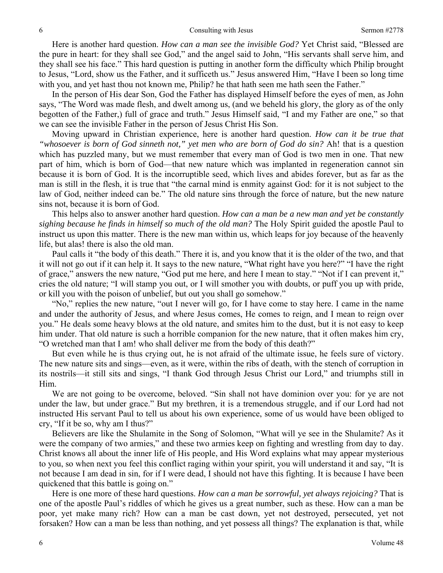Here is another hard question. *How can a man see the invisible God?* Yet Christ said, "Blessed are the pure in heart: for they shall see God," and the angel said to John, "His servants shall serve him, and they shall see his face." This hard question is putting in another form the difficulty which Philip brought to Jesus, "Lord, show us the Father, and it sufficeth us." Jesus answered Him, "Have I been so long time with you, and yet hast thou not known me, Philip? he that hath seen me hath seen the Father."

In the person of His dear Son, God the Father has displayed Himself before the eyes of men, as John says, "The Word was made flesh, and dwelt among us, (and we beheld his glory, the glory as of the only begotten of the Father,) full of grace and truth." Jesus Himself said, "I and my Father are one," so that we can see the invisible Father in the person of Jesus Christ His Son.

Moving upward in Christian experience, here is another hard question. *How can it be true that "whosoever is born of God sinneth not," yet men who are born of God do sin?* Ah! that is a question which has puzzled many, but we must remember that every man of God is two men in one. That new part of him, which is born of God—that new nature which was implanted in regeneration cannot sin because it is born of God. It is the incorruptible seed, which lives and abides forever, but as far as the man is still in the flesh, it is true that "the carnal mind is enmity against God: for it is not subject to the law of God, neither indeed can be." The old nature sins through the force of nature, but the new nature sins not, because it is born of God.

This helps also to answer another hard question. *How can a man be a new man and yet be constantly sighing because he finds in himself so much of the old man?* The Holy Spirit guided the apostle Paul to instruct us upon this matter. There is the new man within us, which leaps for joy because of the heavenly life, but alas! there is also the old man.

Paul calls it "the body of this death." There it is, and you know that it is the older of the two, and that it will not go out if it can help it. It says to the new nature, "What right have you here?" "I have the right of grace," answers the new nature, "God put me here, and here I mean to stay." "Not if I can prevent it," cries the old nature; "I will stamp you out, or I will smother you with doubts, or puff you up with pride, or kill you with the poison of unbelief, but out you shall go somehow."

"No," replies the new nature, "out I never will go, for I have come to stay here. I came in the name and under the authority of Jesus, and where Jesus comes, He comes to reign, and I mean to reign over you." He deals some heavy blows at the old nature, and smites him to the dust, but it is not easy to keep him under. That old nature is such a horrible companion for the new nature, that it often makes him cry, "O wretched man that I am! who shall deliver me from the body of this death?"

But even while he is thus crying out, he is not afraid of the ultimate issue, he feels sure of victory. The new nature sits and sings—even, as it were, within the ribs of death, with the stench of corruption in its nostrils—it still sits and sings, "I thank God through Jesus Christ our Lord," and triumphs still in Him.

We are not going to be overcome, beloved. "Sin shall not have dominion over you: for ye are not under the law, but under grace." But my brethren, it is a tremendous struggle, and if our Lord had not instructed His servant Paul to tell us about his own experience, some of us would have been obliged to cry, "If it be so, why am I thus?"

Believers are like the Shulamite in the Song of Solomon, "What will ye see in the Shulamite? As it were the company of two armies," and these two armies keep on fighting and wrestling from day to day. Christ knows all about the inner life of His people, and His Word explains what may appear mysterious to you, so when next you feel this conflict raging within your spirit, you will understand it and say, "It is not because I am dead in sin, for if I were dead, I should not have this fighting. It is because I have been quickened that this battle is going on."

Here is one more of these hard questions. *How can a man be sorrowful, yet always rejoicing?* That is one of the apostle Paul's riddles of which he gives us a great number, such as these. How can a man be poor, yet make many rich? How can a man be cast down, yet not destroyed, persecuted, yet not forsaken? How can a man be less than nothing, and yet possess all things? The explanation is that, while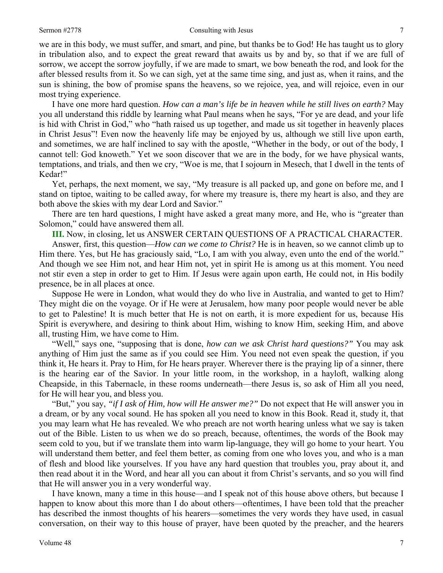#### Sermon #2778 Consulting with Jesus 7

we are in this body, we must suffer, and smart, and pine, but thanks be to God! He has taught us to glory in tribulation also, and to expect the great reward that awaits us by and by, so that if we are full of sorrow, we accept the sorrow joyfully, if we are made to smart, we bow beneath the rod, and look for the after blessed results from it. So we can sigh, yet at the same time sing, and just as, when it rains, and the sun is shining, the bow of promise spans the heavens, so we rejoice, yea, and will rejoice, even in our most trying experience.

I have one more hard question. *How can a man's life be in heaven while he still lives on earth?* May you all understand this riddle by learning what Paul means when he says, "For ye are dead, and your life is hid with Christ in God," who "hath raised us up together, and made us sit together in heavenly places in Christ Jesus"! Even now the heavenly life may be enjoyed by us, although we still live upon earth, and sometimes, we are half inclined to say with the apostle, "Whether in the body, or out of the body, I cannot tell: God knoweth." Yet we soon discover that we are in the body, for we have physical wants, temptations, and trials, and then we cry, "Woe is me, that I sojourn in Mesech, that I dwell in the tents of Kedar!"

Yet, perhaps, the next moment, we say, "My treasure is all packed up, and gone on before me, and I stand on tiptoe, waiting to be called away, for where my treasure is, there my heart is also, and they are both above the skies with my dear Lord and Savior."

There are ten hard questions, I might have asked a great many more, and He, who is "greater than Solomon," could have answered them all.

**III.** Now, in closing, let us ANSWER CERTAIN QUESTIONS OF A PRACTICAL CHARACTER.

Answer, first, this question—*How can we come to Christ?* He is in heaven, so we cannot climb up to Him there. Yes, but He has graciously said, "Lo, I am with you alway, even unto the end of the world." And though we see Him not, and hear Him not, yet in spirit He is among us at this moment. You need not stir even a step in order to get to Him. If Jesus were again upon earth, He could not, in His bodily presence, be in all places at once.

Suppose He were in London, what would they do who live in Australia, and wanted to get to Him? They might die on the voyage. Or if He were at Jerusalem, how many poor people would never be able to get to Palestine! It is much better that He is not on earth, it is more expedient for us, because His Spirit is everywhere, and desiring to think about Him, wishing to know Him, seeking Him, and above all, trusting Him, we have come to Him.

"Well," says one, "supposing that is done, *how can we ask Christ hard questions?"* You may ask anything of Him just the same as if you could see Him. You need not even speak the question, if you think it, He hears it. Pray to Him, for He hears prayer. Wherever there is the praying lip of a sinner, there is the hearing ear of the Savior. In your little room, in the workshop, in a hayloft, walking along Cheapside, in this Tabernacle, in these rooms underneath—there Jesus is, so ask of Him all you need, for He will hear you, and bless you.

"But," you say, *"if I ask of Him, how will He answer me?"* Do not expect that He will answer you in a dream, or by any vocal sound. He has spoken all you need to know in this Book. Read it, study it, that you may learn what He has revealed. We who preach are not worth hearing unless what we say is taken out of the Bible. Listen to us when we do so preach, because, oftentimes, the words of the Book may seem cold to you, but if we translate them into warm lip-language, they will go home to your heart. You will understand them better, and feel them better, as coming from one who loves you, and who is a man of flesh and blood like yourselves. If you have any hard question that troubles you, pray about it, and then read about it in the Word, and hear all you can about it from Christ's servants, and so you will find that He will answer you in a very wonderful way.

I have known, many a time in this house—and I speak not of this house above others, but because I happen to know about this more than I do about others—oftentimes, I have been told that the preacher has described the inmost thoughts of his hearers—sometimes the very words they have used, in casual conversation, on their way to this house of prayer, have been quoted by the preacher, and the hearers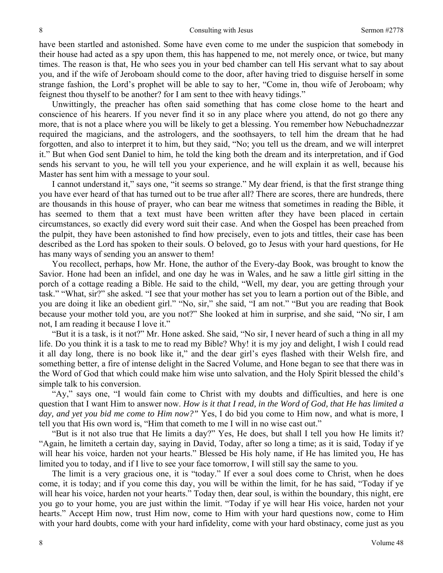have been startled and astonished. Some have even come to me under the suspicion that somebody in their house had acted as a spy upon them, this has happened to me, not merely once, or twice, but many times. The reason is that, He who sees you in your bed chamber can tell His servant what to say about you, and if the wife of Jeroboam should come to the door, after having tried to disguise herself in some strange fashion, the Lord's prophet will be able to say to her, "Come in, thou wife of Jeroboam; why feignest thou thyself to be another? for I am sent to thee with heavy tidings."

Unwittingly, the preacher has often said something that has come close home to the heart and conscience of his hearers. If you never find it so in any place where you attend, do not go there any more, that is not a place where you will be likely to get a blessing. You remember how Nebuchadnezzar required the magicians, and the astrologers, and the soothsayers, to tell him the dream that he had forgotten, and also to interpret it to him, but they said, "No; you tell us the dream, and we will interpret it." But when God sent Daniel to him, he told the king both the dream and its interpretation, and if God sends his servant to you, he will tell you your experience, and he will explain it as well, because his Master has sent him with a message to your soul.

I cannot understand it," says one, "it seems so strange." My dear friend, is that the first strange thing you have ever heard of that has turned out to be true after all? There are scores, there are hundreds, there are thousands in this house of prayer, who can bear me witness that sometimes in reading the Bible, it has seemed to them that a text must have been written after they have been placed in certain circumstances, so exactly did every word suit their case. And when the Gospel has been preached from the pulpit, they have been astonished to find how precisely, even to jots and tittles, their case has been described as the Lord has spoken to their souls. O beloved, go to Jesus with your hard questions, for He has many ways of sending you an answer to them!

You recollect, perhaps, how Mr. Hone, the author of the Every-day Book, was brought to know the Savior. Hone had been an infidel, and one day he was in Wales, and he saw a little girl sitting in the porch of a cottage reading a Bible. He said to the child, "Well, my dear, you are getting through your task." "What, sir?" she asked. "I see that your mother has set you to learn a portion out of the Bible, and you are doing it like an obedient girl." "No, sir," she said, "I am not." "But you are reading that Book because your mother told you, are you not?" She looked at him in surprise, and she said, "No sir, I am not, I am reading it because I love it."

"But it is a task, is it not?" Mr. Hone asked. She said, "No sir, I never heard of such a thing in all my life. Do you think it is a task to me to read my Bible? Why! it is my joy and delight, I wish I could read it all day long, there is no book like it," and the dear girl's eyes flashed with their Welsh fire, and something better, a fire of intense delight in the Sacred Volume, and Hone began to see that there was in the Word of God that which could make him wise unto salvation, and the Holy Spirit blessed the child's simple talk to his conversion.

"Ay," says one, "I would fain come to Christ with my doubts and difficulties, and here is one question that I want Him to answer now. *How is it that I read, in the Word of God, that He has limited a day, and yet you bid me come to Him now?"* Yes, I do bid you come to Him now, and what is more, I tell you that His own word is, "Him that cometh to me I will in no wise cast out."

"But is it not also true that He limits a day?" Yes, He does, but shall I tell you how He limits it? "Again, he limiteth a certain day, saying in David, Today, after so long a time; as it is said, Today if ye will hear his voice, harden not your hearts." Blessed be His holy name, if He has limited you, He has limited you to today, and if I live to see your face tomorrow, I will still say the same to you.

The limit is a very gracious one, it is "today." If ever a soul does come to Christ, when he does come, it is today; and if you come this day, you will be within the limit, for he has said, "Today if ye will hear his voice, harden not your hearts." Today then, dear soul, is within the boundary, this night, ere you go to your home, you are just within the limit. "Today if ye will hear His voice, harden not your hearts." Accept Him now, trust Him now, come to Him with your hard questions now, come to Him with your hard doubts, come with your hard infidelity, come with your hard obstinacy, come just as you